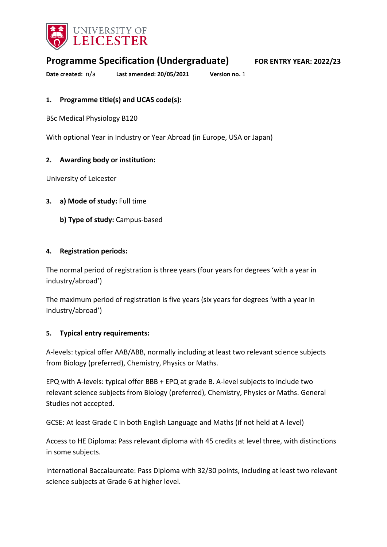

**Programme Specification (Undergraduate) FOR ENTRY YEAR: 2022/23**

**Date created:** n/a **Last amended: 20/05/2021 Version no.** 1

## **1. Programme title(s) and UCAS code(s):**

BSc Medical Physiology B120

With optional Year in Industry or Year Abroad (in Europe, USA or Japan)

### **2. Awarding body or institution:**

University of Leicester

- **3. a) Mode of study:** Full time
	- **b) Type of study:** Campus-based

### **4. Registration periods:**

The normal period of registration is three years (four years for degrees 'with a year in industry/abroad')

The maximum period of registration is five years (six years for degrees 'with a year in industry/abroad')

#### **5. Typical entry requirements:**

A-levels: typical offer AAB/ABB, normally including at least two relevant science subjects from Biology (preferred), Chemistry, Physics or Maths.

EPQ with A-levels: typical offer BBB + EPQ at grade B. A-level subjects to include two relevant science subjects from Biology (preferred), Chemistry, Physics or Maths. General Studies not accepted.

GCSE: At least Grade C in both English Language and Maths (if not held at A-level)

Access to HE Diploma: Pass relevant diploma with 45 credits at level three, with distinctions in some subjects.

International Baccalaureate: Pass Diploma with 32/30 points, including at least two relevant science subjects at Grade 6 at higher level.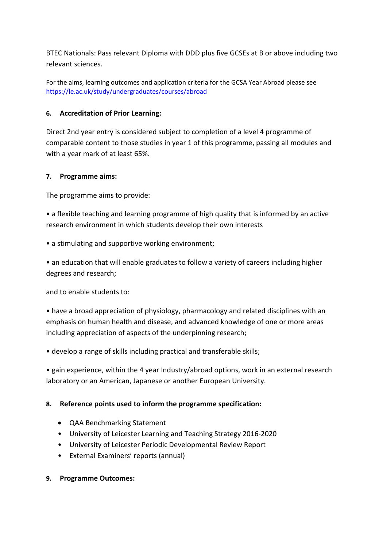BTEC Nationals: Pass relevant Diploma with DDD plus five GCSEs at B or above including two relevant sciences.

For the aims, learning outcomes and application criteria for the GCSA Year Abroad please see <https://le.ac.uk/study/undergraduates/courses/abroad>

## **6. Accreditation of Prior Learning:**

Direct 2nd year entry is considered subject to completion of a level 4 programme of comparable content to those studies in year 1 of this programme, passing all modules and with a year mark of at least 65%.

## **7. Programme aims:**

The programme aims to provide:

• a flexible teaching and learning programme of high quality that is informed by an active research environment in which students develop their own interests

• a stimulating and supportive working environment;

• an education that will enable graduates to follow a variety of careers including higher degrees and research;

and to enable students to:

• have a broad appreciation of physiology, pharmacology and related disciplines with an emphasis on human health and disease, and advanced knowledge of one or more areas including appreciation of aspects of the underpinning research;

• develop a range of skills including practical and transferable skills;

• gain experience, within the 4 year Industry/abroad options, work in an external research laboratory or an American, Japanese or another European University.

## **8. Reference points used to inform the programme specification:**

- QAA Benchmarking Statement
- University of Leicester Learning and Teaching Strategy 2016-2020
- University of Leicester Periodic Developmental Review Report
- External Examiners' reports (annual)

## **9. Programme Outcomes:**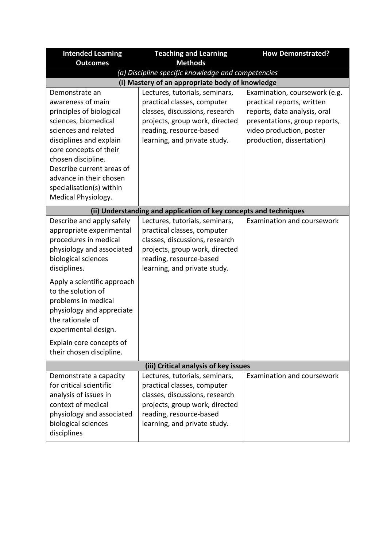| <b>Teaching and Learning</b>                       | <b>How Demonstrated?</b>                                                                                                                                                                                                                                                                                                                                                                                                                                                                               |  |  |
|----------------------------------------------------|--------------------------------------------------------------------------------------------------------------------------------------------------------------------------------------------------------------------------------------------------------------------------------------------------------------------------------------------------------------------------------------------------------------------------------------------------------------------------------------------------------|--|--|
|                                                    |                                                                                                                                                                                                                                                                                                                                                                                                                                                                                                        |  |  |
| (a) Discipline specific knowledge and competencies |                                                                                                                                                                                                                                                                                                                                                                                                                                                                                                        |  |  |
|                                                    |                                                                                                                                                                                                                                                                                                                                                                                                                                                                                                        |  |  |
|                                                    | Examination, coursework (e.g.                                                                                                                                                                                                                                                                                                                                                                                                                                                                          |  |  |
|                                                    | practical reports, written                                                                                                                                                                                                                                                                                                                                                                                                                                                                             |  |  |
|                                                    | reports, data analysis, oral                                                                                                                                                                                                                                                                                                                                                                                                                                                                           |  |  |
|                                                    | presentations, group reports,                                                                                                                                                                                                                                                                                                                                                                                                                                                                          |  |  |
|                                                    | video production, poster                                                                                                                                                                                                                                                                                                                                                                                                                                                                               |  |  |
|                                                    | production, dissertation)                                                                                                                                                                                                                                                                                                                                                                                                                                                                              |  |  |
|                                                    |                                                                                                                                                                                                                                                                                                                                                                                                                                                                                                        |  |  |
|                                                    |                                                                                                                                                                                                                                                                                                                                                                                                                                                                                                        |  |  |
|                                                    |                                                                                                                                                                                                                                                                                                                                                                                                                                                                                                        |  |  |
|                                                    |                                                                                                                                                                                                                                                                                                                                                                                                                                                                                                        |  |  |
|                                                    |                                                                                                                                                                                                                                                                                                                                                                                                                                                                                                        |  |  |
|                                                    |                                                                                                                                                                                                                                                                                                                                                                                                                                                                                                        |  |  |
|                                                    |                                                                                                                                                                                                                                                                                                                                                                                                                                                                                                        |  |  |
|                                                    | Examination and coursework                                                                                                                                                                                                                                                                                                                                                                                                                                                                             |  |  |
|                                                    |                                                                                                                                                                                                                                                                                                                                                                                                                                                                                                        |  |  |
|                                                    |                                                                                                                                                                                                                                                                                                                                                                                                                                                                                                        |  |  |
|                                                    |                                                                                                                                                                                                                                                                                                                                                                                                                                                                                                        |  |  |
|                                                    |                                                                                                                                                                                                                                                                                                                                                                                                                                                                                                        |  |  |
| learning, and private study.                       |                                                                                                                                                                                                                                                                                                                                                                                                                                                                                                        |  |  |
|                                                    |                                                                                                                                                                                                                                                                                                                                                                                                                                                                                                        |  |  |
|                                                    |                                                                                                                                                                                                                                                                                                                                                                                                                                                                                                        |  |  |
|                                                    |                                                                                                                                                                                                                                                                                                                                                                                                                                                                                                        |  |  |
|                                                    |                                                                                                                                                                                                                                                                                                                                                                                                                                                                                                        |  |  |
|                                                    |                                                                                                                                                                                                                                                                                                                                                                                                                                                                                                        |  |  |
|                                                    |                                                                                                                                                                                                                                                                                                                                                                                                                                                                                                        |  |  |
|                                                    |                                                                                                                                                                                                                                                                                                                                                                                                                                                                                                        |  |  |
|                                                    |                                                                                                                                                                                                                                                                                                                                                                                                                                                                                                        |  |  |
|                                                    |                                                                                                                                                                                                                                                                                                                                                                                                                                                                                                        |  |  |
| (iii) Critical analysis of key issues              |                                                                                                                                                                                                                                                                                                                                                                                                                                                                                                        |  |  |
| Lectures, tutorials, seminars,                     | Examination and coursework                                                                                                                                                                                                                                                                                                                                                                                                                                                                             |  |  |
| practical classes, computer                        |                                                                                                                                                                                                                                                                                                                                                                                                                                                                                                        |  |  |
| classes, discussions, research                     |                                                                                                                                                                                                                                                                                                                                                                                                                                                                                                        |  |  |
| projects, group work, directed                     |                                                                                                                                                                                                                                                                                                                                                                                                                                                                                                        |  |  |
| reading, resource-based                            |                                                                                                                                                                                                                                                                                                                                                                                                                                                                                                        |  |  |
| learning, and private study.                       |                                                                                                                                                                                                                                                                                                                                                                                                                                                                                                        |  |  |
|                                                    |                                                                                                                                                                                                                                                                                                                                                                                                                                                                                                        |  |  |
|                                                    | <b>Methods</b><br>(i) Mastery of an appropriate body of knowledge<br>Lectures, tutorials, seminars,<br>practical classes, computer<br>classes, discussions, research<br>projects, group work, directed<br>reading, resource-based<br>learning, and private study.<br>(ii) Understanding and application of key concepts and techniques<br>Lectures, tutorials, seminars,<br>practical classes, computer<br>classes, discussions, research<br>projects, group work, directed<br>reading, resource-based |  |  |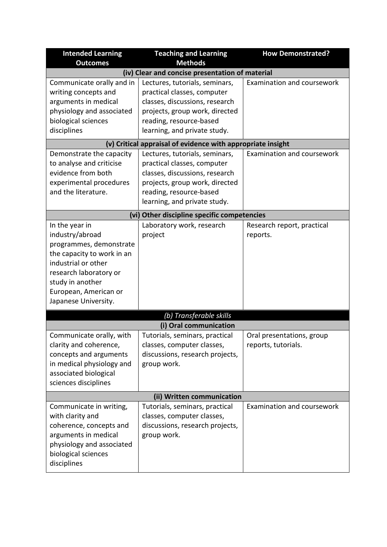| <b>Intended Learning</b>                    | <b>Teaching and Learning</b>                                | <b>How Demonstrated?</b>   |  |
|---------------------------------------------|-------------------------------------------------------------|----------------------------|--|
| <b>Outcomes</b>                             | <b>Methods</b>                                              |                            |  |
|                                             | (iv) Clear and concise presentation of material             |                            |  |
| Communicate orally and in                   | Lectures, tutorials, seminars,                              | Examination and coursework |  |
| writing concepts and                        | practical classes, computer                                 |                            |  |
| arguments in medical                        | classes, discussions, research                              |                            |  |
| physiology and associated                   | projects, group work, directed                              |                            |  |
| biological sciences                         | reading, resource-based                                     |                            |  |
| disciplines                                 | learning, and private study.                                |                            |  |
|                                             | (v) Critical appraisal of evidence with appropriate insight |                            |  |
| Demonstrate the capacity                    | Lectures, tutorials, seminars,                              | Examination and coursework |  |
| to analyse and criticise                    | practical classes, computer                                 |                            |  |
| evidence from both                          | classes, discussions, research                              |                            |  |
| experimental procedures                     | projects, group work, directed                              |                            |  |
| and the literature.                         | reading, resource-based                                     |                            |  |
|                                             | learning, and private study.                                |                            |  |
| (vi) Other discipline specific competencies |                                                             |                            |  |
| In the year in                              | Laboratory work, research                                   | Research report, practical |  |
| industry/abroad                             | project                                                     | reports.                   |  |
| programmes, demonstrate                     |                                                             |                            |  |
| the capacity to work in an                  |                                                             |                            |  |
| industrial or other                         |                                                             |                            |  |
| research laboratory or                      |                                                             |                            |  |
| study in another                            |                                                             |                            |  |
| European, American or                       |                                                             |                            |  |
| Japanese University.                        |                                                             |                            |  |
|                                             | (b) Transferable skills                                     |                            |  |
| (i) Oral communication                      |                                                             |                            |  |
| Communicate orally, with                    | Tutorials, seminars, practical                              | Oral presentations, group  |  |
| clarity and coherence,                      | classes, computer classes,                                  | reports, tutorials.        |  |
| concepts and arguments                      | discussions, research projects,                             |                            |  |
| in medical physiology and                   | group work.                                                 |                            |  |
| associated biological                       |                                                             |                            |  |
| sciences disciplines                        |                                                             |                            |  |
| (ii) Written communication                  |                                                             |                            |  |
| Communicate in writing,                     | Tutorials, seminars, practical                              | Examination and coursework |  |
| with clarity and                            | classes, computer classes,                                  |                            |  |
| coherence, concepts and                     | discussions, research projects,                             |                            |  |
| arguments in medical                        | group work.                                                 |                            |  |
| physiology and associated                   |                                                             |                            |  |
| biological sciences                         |                                                             |                            |  |
| disciplines                                 |                                                             |                            |  |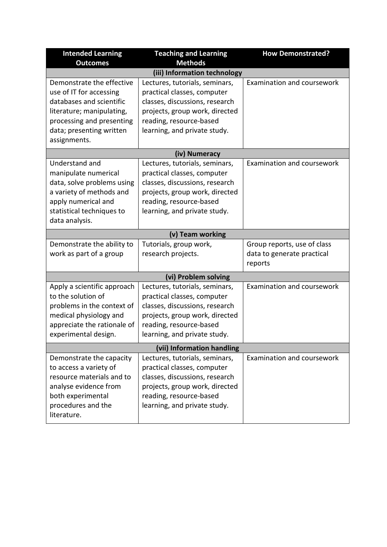| <b>Intended Learning</b>                             | <b>Teaching and Learning</b>                                  | <b>How Demonstrated?</b>          |  |
|------------------------------------------------------|---------------------------------------------------------------|-----------------------------------|--|
| <b>Outcomes</b>                                      | <b>Methods</b>                                                |                                   |  |
|                                                      | (iii) Information technology                                  |                                   |  |
| Demonstrate the effective<br>use of IT for accessing | Lectures, tutorials, seminars,<br>practical classes, computer | Examination and coursework        |  |
| databases and scientific                             | classes, discussions, research                                |                                   |  |
| literature; manipulating,                            | projects, group work, directed                                |                                   |  |
| processing and presenting                            | reading, resource-based                                       |                                   |  |
| data; presenting written                             | learning, and private study.                                  |                                   |  |
| assignments.                                         |                                                               |                                   |  |
|                                                      | (iv) Numeracy                                                 |                                   |  |
| Understand and                                       | Lectures, tutorials, seminars,                                | Examination and coursework        |  |
| manipulate numerical                                 | practical classes, computer                                   |                                   |  |
| data, solve problems using                           | classes, discussions, research                                |                                   |  |
| a variety of methods and                             | projects, group work, directed                                |                                   |  |
| apply numerical and                                  | reading, resource-based                                       |                                   |  |
| statistical techniques to                            | learning, and private study.                                  |                                   |  |
| data analysis.                                       |                                                               |                                   |  |
|                                                      | (v) Team working                                              |                                   |  |
| Demonstrate the ability to                           | Tutorials, group work,                                        | Group reports, use of class       |  |
| work as part of a group                              | research projects.                                            | data to generate practical        |  |
|                                                      |                                                               | reports                           |  |
| (vi) Problem solving                                 |                                                               |                                   |  |
| Apply a scientific approach                          | Lectures, tutorials, seminars,                                | Examination and coursework        |  |
| to the solution of                                   | practical classes, computer                                   |                                   |  |
| problems in the context of                           | classes, discussions, research                                |                                   |  |
| medical physiology and                               | projects, group work, directed                                |                                   |  |
| appreciate the rationale of                          | reading, resource-based                                       |                                   |  |
| experimental design.                                 | learning, and private study.                                  |                                   |  |
| (vii) Information handling                           |                                                               |                                   |  |
| Demonstrate the capacity                             | Lectures, tutorials, seminars,                                | <b>Examination and coursework</b> |  |
| to access a variety of                               | practical classes, computer                                   |                                   |  |
| resource materials and to                            | classes, discussions, research                                |                                   |  |
| analyse evidence from                                | projects, group work, directed                                |                                   |  |
| both experimental                                    | reading, resource-based                                       |                                   |  |
| procedures and the                                   | learning, and private study.                                  |                                   |  |
| literature.                                          |                                                               |                                   |  |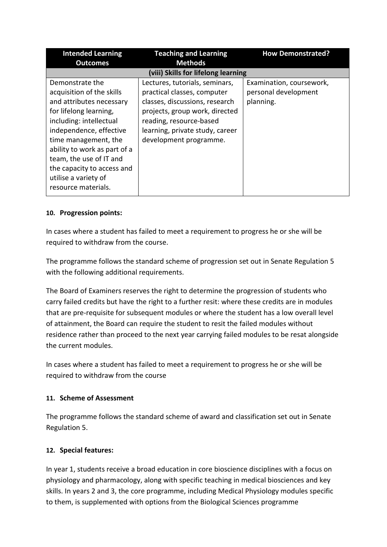| <b>Intended Learning</b>                                                                                                                                                                                                                                                                                                 | <b>Teaching and Learning</b>                                                                                                                                                                                              | <b>How Demonstrated?</b>                                      |  |
|--------------------------------------------------------------------------------------------------------------------------------------------------------------------------------------------------------------------------------------------------------------------------------------------------------------------------|---------------------------------------------------------------------------------------------------------------------------------------------------------------------------------------------------------------------------|---------------------------------------------------------------|--|
| <b>Outcomes</b>                                                                                                                                                                                                                                                                                                          | <b>Methods</b>                                                                                                                                                                                                            |                                                               |  |
| (viii) Skills for lifelong learning                                                                                                                                                                                                                                                                                      |                                                                                                                                                                                                                           |                                                               |  |
| Demonstrate the<br>acquisition of the skills<br>and attributes necessary<br>for lifelong learning,<br>including: intellectual<br>independence, effective<br>time management, the<br>ability to work as part of a<br>team, the use of IT and<br>the capacity to access and<br>utilise a variety of<br>resource materials. | Lectures, tutorials, seminars,<br>practical classes, computer<br>classes, discussions, research<br>projects, group work, directed<br>reading, resource-based<br>learning, private study, career<br>development programme. | Examination, coursework,<br>personal development<br>planning. |  |

# **10. Progression points:**

In cases where a student has failed to meet a requirement to progress he or she will be required to withdraw from the course.

The programme follows the standard scheme of progression set out in Senate Regulation 5 with the following additional requirements.

The Board of Examiners reserves the right to determine the progression of students who carry failed credits but have the right to a further resit: where these credits are in modules that are pre-requisite for subsequent modules or where the student has a low overall level of attainment, the Board can require the student to resit the failed modules without residence rather than proceed to the next year carrying failed modules to be resat alongside the current modules.

In cases where a student has failed to meet a requirement to progress he or she will be required to withdraw from the course

# **11. Scheme of Assessment**

The programme follows the standard scheme of award and classification set out in Senate Regulation 5.

# **12. Special features:**

In year 1, students receive a broad education in core bioscience disciplines with a focus on physiology and pharmacology, along with specific teaching in medical biosciences and key skills. In years 2 and 3, the core programme, including Medical Physiology modules specific to them, is supplemented with options from the Biological Sciences programme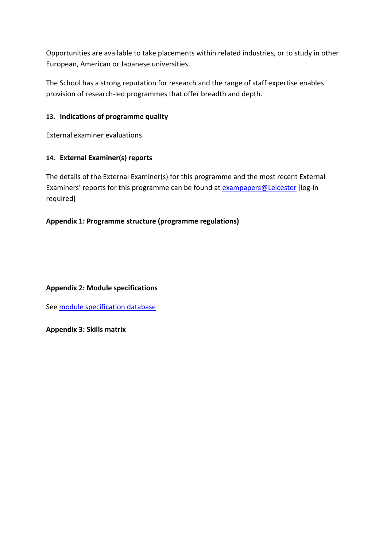Opportunities are available to take placements within related industries, or to study in other European, American or Japanese universities.

The School has a strong reputation for research and the range of staff expertise enables provision of research-led programmes that offer breadth and depth.

# **13. Indications of programme quality**

External examiner evaluations.

# **14. External Examiner(s) reports**

The details of the External Examiner(s) for this programme and the most recent External Examiners' reports for this programme can be found at **exampapers@Leicester** [log-in required]

# **Appendix 1: Programme structure (programme regulations)**

## **Appendix 2: Module specifications**

See [module specification database](http://www.le.ac.uk/sas/courses/documentation)

**Appendix 3: Skills matrix**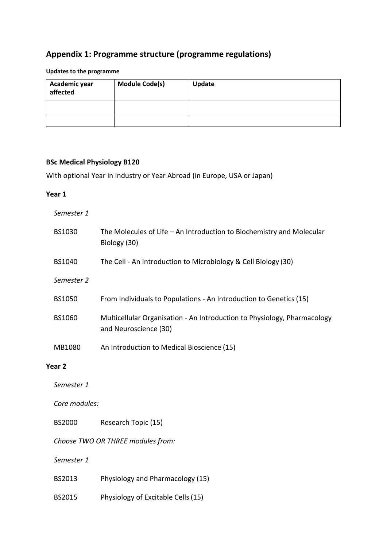# **Appendix 1: Programme structure (programme regulations)**

# **Updates to the programme**

| Academic year<br>affected | <b>Module Code(s)</b> | Update |
|---------------------------|-----------------------|--------|
|                           |                       |        |
|                           |                       |        |

# **BSc Medical Physiology B120**

With optional Year in Industry or Year Abroad (in Europe, USA or Japan)

#### **Year 1**

*Semester 1*

|                                                       | BS1030                            | The Molecules of Life - An Introduction to Biochemistry and Molecular<br>Biology (30)             |
|-------------------------------------------------------|-----------------------------------|---------------------------------------------------------------------------------------------------|
|                                                       | BS1040                            | The Cell - An Introduction to Microbiology & Cell Biology (30)                                    |
|                                                       | Semester 2                        |                                                                                                   |
|                                                       | <b>BS1050</b>                     | From Individuals to Populations - An Introduction to Genetics (15)                                |
|                                                       | BS1060                            | Multicellular Organisation - An Introduction to Physiology, Pharmacology<br>and Neuroscience (30) |
|                                                       | MB1080                            | An Introduction to Medical Bioscience (15)                                                        |
|                                                       | Year 2                            |                                                                                                   |
|                                                       | Semester 1                        |                                                                                                   |
| Core modules:<br><b>BS2000</b><br>Research Topic (15) |                                   |                                                                                                   |
|                                                       |                                   |                                                                                                   |
|                                                       | Choose TWO OR THREE modules from: |                                                                                                   |
|                                                       | Semester 1                        |                                                                                                   |
|                                                       | BS2013                            | Physiology and Pharmacology (15)                                                                  |
|                                                       | BS2015                            | Physiology of Excitable Cells (15)                                                                |
|                                                       |                                   |                                                                                                   |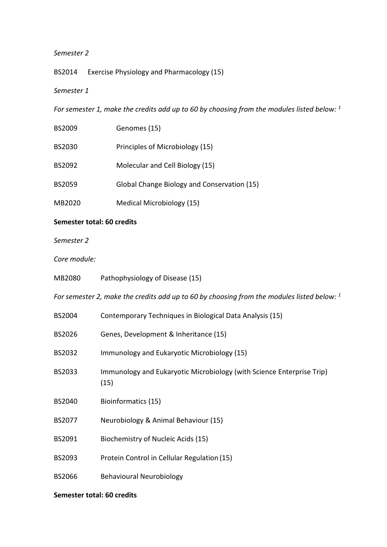### *Semester 2*

BS2014 Exercise Physiology and Pharmacology (15)

# *Semester 1*

*For semester 1, make the credits add up to 60 by choosing from the modules listed below: 1*

| BS2009        | Genomes (15)                                |
|---------------|---------------------------------------------|
| <b>BS2030</b> | Principles of Microbiology (15)             |
| BS2092        | Molecular and Cell Biology (15)             |
| <b>BS2059</b> | Global Change Biology and Conservation (15) |
| MB2020        | Medical Microbiology (15)                   |

## **Semester total: 60 credits**

*Semester 2*

### *Core module:*

| MB2080                                                                                        | Pathophysiology of Disease (15)                                               |  |  |
|-----------------------------------------------------------------------------------------------|-------------------------------------------------------------------------------|--|--|
| For semester 2, make the credits add up to 60 by choosing from the modules listed below: $^1$ |                                                                               |  |  |
| BS2004                                                                                        | Contemporary Techniques in Biological Data Analysis (15)                      |  |  |
| BS2026                                                                                        | Genes, Development & Inheritance (15)                                         |  |  |
| BS2032                                                                                        | Immunology and Eukaryotic Microbiology (15)                                   |  |  |
| BS2033                                                                                        | Immunology and Eukaryotic Microbiology (with Science Enterprise Trip)<br>(15) |  |  |
| BS2040                                                                                        | Bioinformatics (15)                                                           |  |  |
| BS2077                                                                                        | Neurobiology & Animal Behaviour (15)                                          |  |  |
| BS2091                                                                                        | Biochemistry of Nucleic Acids (15)                                            |  |  |
| BS2093                                                                                        | Protein Control in Cellular Regulation (15)                                   |  |  |
| BS2066                                                                                        | Behavioural Neurobiology                                                      |  |  |
|                                                                                               |                                                                               |  |  |

## **Semester total: 60 credits**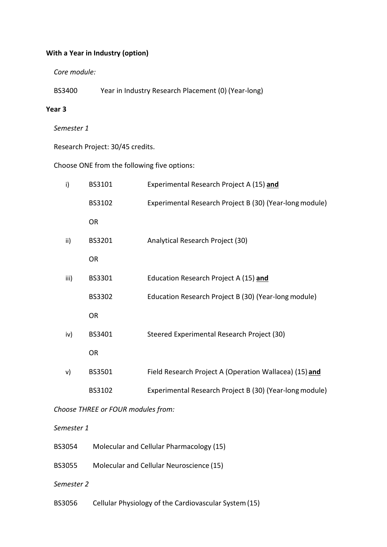## **With a Year in Industry (option)**

*Core module:*

BS3400 Year in Industry Research Placement (0) (Year-long)

#### **Year 3**

*Semester 1* 

Research Project: 30/45 credits.

Choose ONE from the following five options:

| i)   | BS3101        | Experimental Research Project A (15) and                |
|------|---------------|---------------------------------------------------------|
|      | BS3102        | Experimental Research Project B (30) (Year-long module) |
|      | <b>OR</b>     |                                                         |
| ii)  | BS3201        | Analytical Research Project (30)                        |
|      | <b>OR</b>     |                                                         |
| iii) | BS3301        | Education Research Project A (15) and                   |
|      | <b>BS3302</b> | Education Research Project B (30) (Year-long module)    |
|      | <b>OR</b>     |                                                         |
| iv)  | BS3401        | Steered Experimental Research Project (30)              |
|      | <b>OR</b>     |                                                         |
| v)   | BS3501        | Field Research Project A (Operation Wallacea) (15) and  |
|      | BS3102        | Experimental Research Project B (30) (Year-long module) |

*Choose THREE or FOUR modules from:*

#### *Semester 1*

- BS3054 Molecular and Cellular Pharmacology (15)
- BS3055 Molecular and Cellular Neuroscience (15)
- *Semester 2*
- BS3056 Cellular Physiology of the Cardiovascular System(15)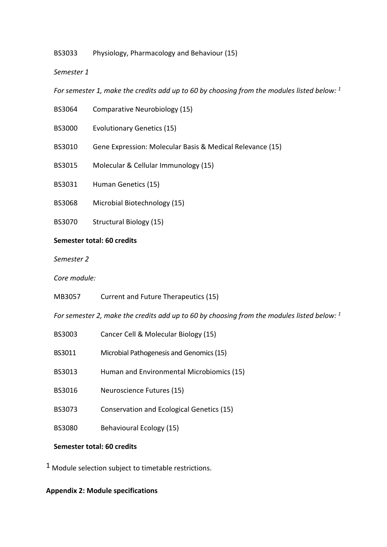BS3033 Physiology, Pharmacology and Behaviour (15)

*Semester 1*

*For semester 1, make the credits add up to 60 by choosing from the modules listed below: 1*

- BS3064 Comparative Neurobiology (15)
- BS3000 Evolutionary Genetics (15)
- BS3010 Gene Expression: Molecular Basis & Medical Relevance (15)
- BS3015 Molecular & Cellular Immunology (15)
- BS3031 Human Genetics (15)
- BS3068 Microbial Biotechnology (15)
- BS3070 Structural Biology (15)

#### **Semester total: 60 credits**

*Semester 2*

*Core module:*

MB3057 Current and Future Therapeutics (15)

*For semester 2, make the credits add up to 60 by choosing from the modules listed below: 1*

- BS3003 Cancer Cell & Molecular Biology (15)
- BS3011 Microbial Pathogenesis and Genomics (15)
- BS3013 Human and Environmental Microbiomics (15)
- BS3016 Neuroscience Futures (15)
- BS3073 Conservation and Ecological Genetics (15)
- BS3080 Behavioural Ecology (15)

#### **Semester total: 60 credits**

 $1$  Module selection subject to timetable restrictions.

#### **Appendix 2: Module specifications**